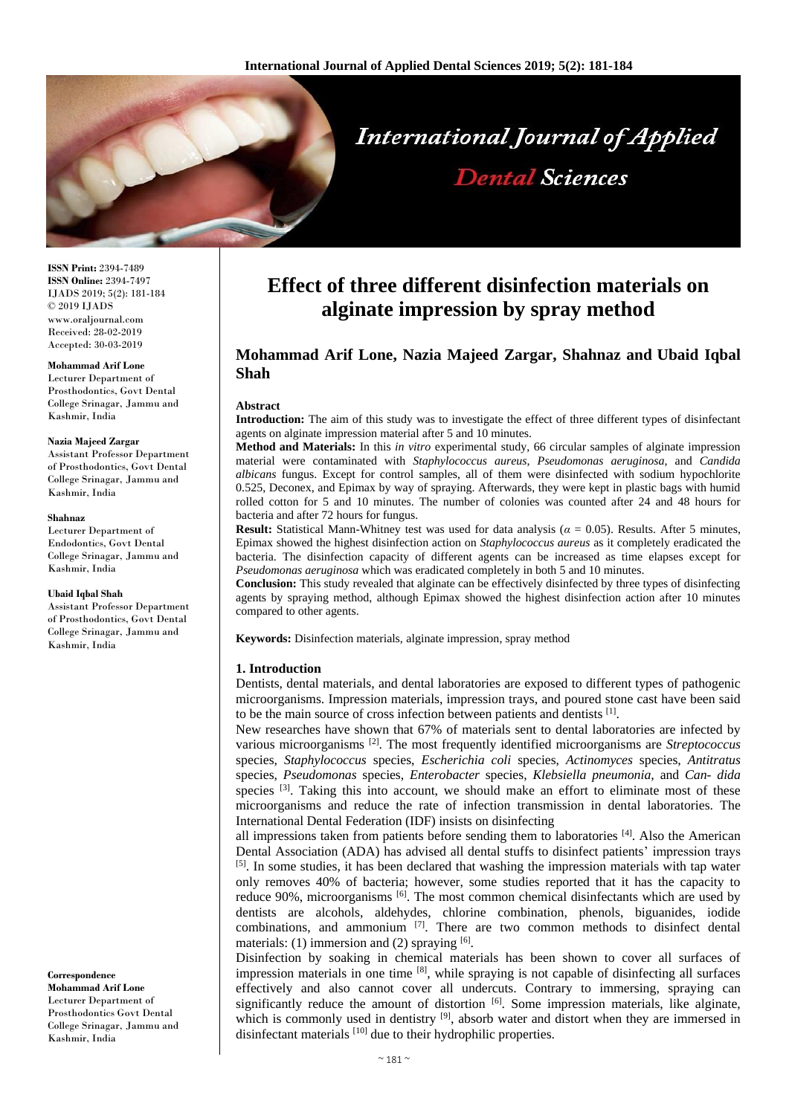

**ISSN Print:** 2394-7489 **ISSN Online:** 2394-7497 IJADS 2019; 5(2): 181-184 © 2019 IJADS www.oraljournal.com Received: 28-02-2019 Accepted: 30-03-2019

#### **Mohammad Arif Lone**

Lecturer Department of Prosthodontics, Govt Dental College Srinagar, Jammu and Kashmir, India

#### **Nazia Majeed Zargar**

Assistant Professor Department of Prosthodontics, Govt Dental College Srinagar, Jammu and Kashmir, India

#### **Shahnaz**

Lecturer Department of Endodontics, Govt Dental College Srinagar, Jammu and Kashmir, India

#### **Ubaid Iqbal Shah**

Assistant Professor Department of Prosthodontics, Govt Dental College Srinagar, Jammu and Kashmir, India

**Correspondence Mohammad Arif Lone** Lecturer Department of Prosthodontics Govt Dental College Srinagar, Jammu and Kashmir, India

# **Effect of three different disinfection materials on alginate impression by spray method**

## **Mohammad Arif Lone, Nazia Majeed Zargar, Shahnaz and Ubaid Iqbal Shah**

#### **Abstract**

**Introduction:** The aim of this study was to investigate the effect of three different types of disinfectant agents on alginate impression material after 5 and 10 minutes.

**Method and Materials:** In this *in vitro* experimental study, 66 circular samples of alginate impression material were contaminated with *Staphylococcus aureus*, *Pseudomonas aeruginosa*, and *Candida albicans* fungus. Except for control samples, all of them were disinfected with sodium hypochlorite 0.525, Deconex, and Epimax by way of spraying. Afterwards, they were kept in plastic bags with humid rolled cotton for 5 and 10 minutes. The number of colonies was counted after 24 and 48 hours for bacteria and after 72 hours for fungus.

**Result:** Statistical Mann-Whitney test was used for data analysis ( $\alpha = 0.05$ ). Results. After 5 minutes, Epimax showed the highest disinfection action on *Staphylococcus aureus* as it completely eradicated the bacteria. The disinfection capacity of different agents can be increased as time elapses except for *Pseudomonas aeruginosa* which was eradicated completely in both 5 and 10 minutes.

**Conclusion:** This study revealed that alginate can be effectively disinfected by three types of disinfecting agents by spraying method, although Epimax showed the highest disinfection action after 10 minutes compared to other agents.

**Keywords:** Disinfection materials, alginate impression, spray method

#### **1. Introduction**

Dentists, dental materials, and dental laboratories are exposed to different types of pathogenic microorganisms. Impression materials, impression trays, and poured stone cast have been said to be the main source of cross infection between patients and dentists  $[1]$ .

New researches have shown that 67% of materials sent to dental laboratories are infected by various microorganisms [2]. The most frequently identified microorganisms are *Streptococcus*  species, *Staphylococcus* species, *Escherichia coli* species, *Actinomyces* species, *Antitratus*  species, *Pseudomonas* species, *Enterobacter* species, *Klebsiella pneumonia,* and *Can- dida*  species <sup>[3]</sup>. Taking this into account, we should make an effort to eliminate most of these microorganisms and reduce the rate of infection transmission in dental laboratories. The International Dental Federation (IDF) insists on disinfecting

all impressions taken from patients before sending them to laboratories  $^{[4]}$ . Also the American Dental Association (ADA) has advised all dental stuffs to disinfect patients' impression trays  $[5]$ . In some studies, it has been declared that washing the impression materials with tap water only removes 40% of bacteria; however, some studies reported that it has the capacity to reduce 90%, microorganisms <sup>[6]</sup>. The most common chemical disinfectants which are used by dentists are alcohols, aldehydes, chlorine combination, phenols, biguanides, iodide combinations, and ammonium  $^{[7]}$ . There are two common methods to disinfect dental materials: (1) immersion and (2) spraying  $[6]$ .

Disinfection by soaking in chemical materials has been shown to cover all surfaces of impression materials in one time [8], while spraying is not capable of disinfecting all surfaces effectively and also cannot cover all undercuts. Contrary to immersing, spraying can significantly reduce the amount of distortion  $[6]$ . Some impression materials, like alginate, which is commonly used in dentistry <sup>[9]</sup>, absorb water and distort when they are immersed in disinfectant materials [10] due to their hydrophilic properties.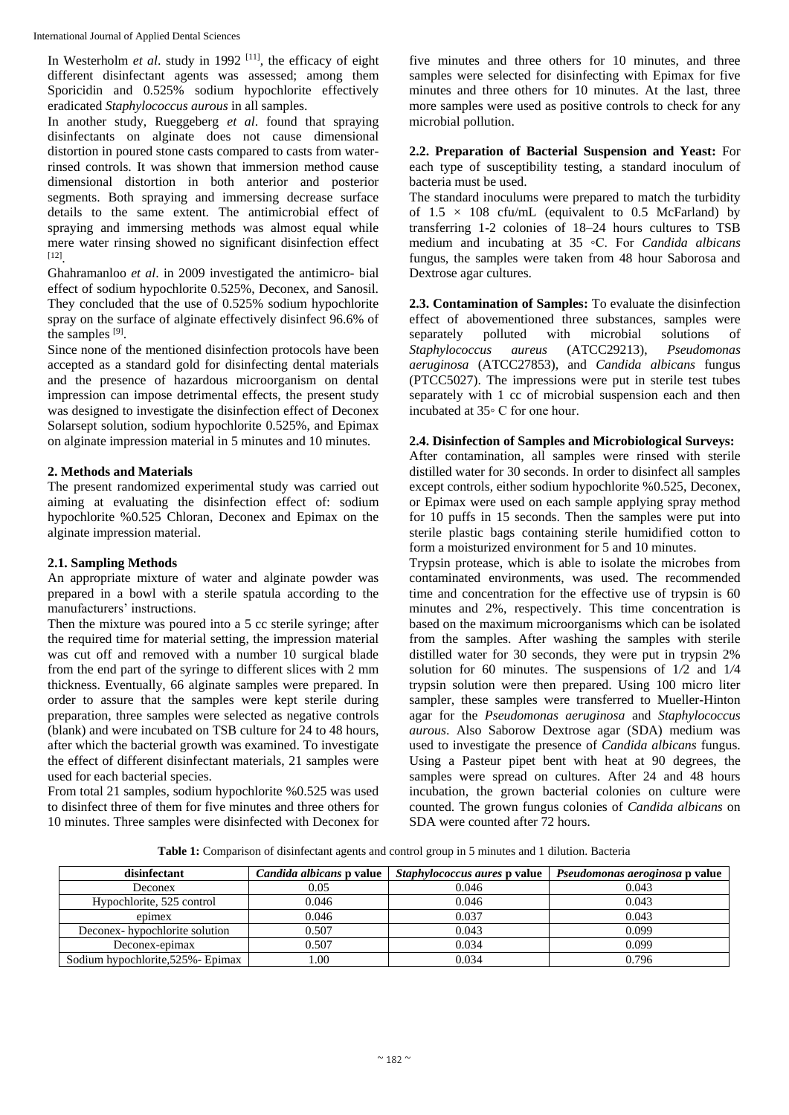In Westerholm *et al.* study in 1992<sup>[11]</sup>, the efficacy of eight different disinfectant agents was assessed; among them Sporicidin and 0.525% sodium hypochlorite effectively eradicated *Staphylococcus aurous* in all samples.

In another study, Rueggeberg *et al*. found that spraying disinfectants on alginate does not cause dimensional distortion in poured stone casts compared to casts from waterrinsed controls. It was shown that immersion method cause dimensional distortion in both anterior and posterior segments. Both spraying and immersing decrease surface details to the same extent. The antimicrobial effect of spraying and immersing methods was almost equal while mere water rinsing showed no significant disinfection effect [12] .

Ghahramanloo *et al*. in 2009 investigated the antimicro- bial effect of sodium hypochlorite 0.525%, Deconex, and Sanosil. They concluded that the use of 0.525% sodium hypochlorite spray on the surface of alginate effectively disinfect 96.6% of the samples  $^{[9]}$ .

Since none of the mentioned disinfection protocols have been accepted as a standard gold for disinfecting dental materials and the presence of hazardous microorganism on dental impression can impose detrimental effects, the present study was designed to investigate the disinfection effect of Deconex Solarsept solution, sodium hypochlorite 0.525%, and Epimax on alginate impression material in 5 minutes and 10 minutes.

## **2. Methods and Materials**

The present randomized experimental study was carried out aiming at evaluating the disinfection effect of: sodium hypochlorite %0.525 Chloran, Deconex and Epimax on the alginate impression material.

### **2.1. Sampling Methods**

An appropriate mixture of water and alginate powder was prepared in a bowl with a sterile spatula according to the manufacturers' instructions.

Then the mixture was poured into a 5 cc sterile syringe; after the required time for material setting, the impression material was cut off and removed with a number 10 surgical blade from the end part of the syringe to different slices with 2 mm thickness. Eventually, 66 alginate samples were prepared. In order to assure that the samples were kept sterile during preparation, three samples were selected as negative controls (blank) and were incubated on TSB culture for 24 to 48 hours, after which the bacterial growth was examined. To investigate the effect of different disinfectant materials, 21 samples were used for each bacterial species.

From total 21 samples, sodium hypochlorite %0.525 was used to disinfect three of them for five minutes and three others for 10 minutes. Three samples were disinfected with Deconex for

five minutes and three others for 10 minutes, and three samples were selected for disinfecting with Epimax for five minutes and three others for 10 minutes. At the last, three more samples were used as positive controls to check for any microbial pollution.

**2.2. Preparation of Bacterial Suspension and Yeast:** For each type of susceptibility testing, a standard inoculum of bacteria must be used.

The standard inoculums were prepared to match the turbidity of  $1.5 \times 108$  cfu/mL (equivalent to 0.5 McFarland) by transferring 1-2 colonies of 18–24 hours cultures to TSB medium and incubating at 35 ◦C. For *Candida albicans*  fungus, the samples were taken from 48 hour Saborosa and Dextrose agar cultures.

**2.3. Contamination of Samples:** To evaluate the disinfection effect of abovementioned three substances, samples were separately polluted with microbial solutions of *Staphylococcus aureus* (ATCC29213), *Pseudomonas aeruginosa* (ATCC27853), and *Candida albicans* fungus (PTCC5027). The impressions were put in sterile test tubes separately with 1 cc of microbial suspension each and then incubated at 35◦ C for one hour.

## **2.4. Disinfection of Samples and Microbiological Surveys:**

After contamination, all samples were rinsed with sterile distilled water for 30 seconds. In order to disinfect all samples except controls, either sodium hypochlorite %0.525, Deconex, or Epimax were used on each sample applying spray method for 10 puffs in 15 seconds. Then the samples were put into sterile plastic bags containing sterile humidified cotton to form a moisturized environment for 5 and 10 minutes.

Trypsin protease, which is able to isolate the microbes from contaminated environments, was used. The recommended time and concentration for the effective use of trypsin is 60 minutes and 2%, respectively. This time concentration is based on the maximum microorganisms which can be isolated from the samples. After washing the samples with sterile distilled water for 30 seconds, they were put in trypsin 2% solution for 60 minutes. The suspensions of 1*/*2 and 1*/*4 trypsin solution were then prepared. Using 100 micro liter sampler, these samples were transferred to Mueller-Hinton agar for the *Pseudomonas aeruginosa* and *Staphylococcus aurous*. Also Saborow Dextrose agar (SDA) medium was used to investigate the presence of *Candida albicans* fungus. Using a Pasteur pipet bent with heat at 90 degrees, the samples were spread on cultures. After 24 and 48 hours incubation, the grown bacterial colonies on culture were counted. The grown fungus colonies of *Candida albicans* on SDA were counted after 72 hours.

**Table 1:** Comparison of disinfectant agents and control group in 5 minutes and 1 dilution. Bacteria

| disinfectant                       | <i>Candida albicans o v</i> alue | <i>Staphylococcus aures</i> p value | <i>Pseudomonas aeroginosa</i> p value |
|------------------------------------|----------------------------------|-------------------------------------|---------------------------------------|
| <b>Deconex</b>                     | 0.05                             | 0.046                               | 0.043                                 |
| Hypochlorite, 525 control          | 0.046                            | 0.046                               | 0.043                                 |
| epimex                             | 0.046                            | 0.037                               | 0.043                                 |
| Deconex-hypochlorite solution      | 0.507                            | 0.043                               | 0.099                                 |
| Deconex-epimax                     | 0.507                            | 0.034                               | 0.099                                 |
| Sodium hypochlorite, 525% - Epimax | .00                              | 0.034                               | 0.796                                 |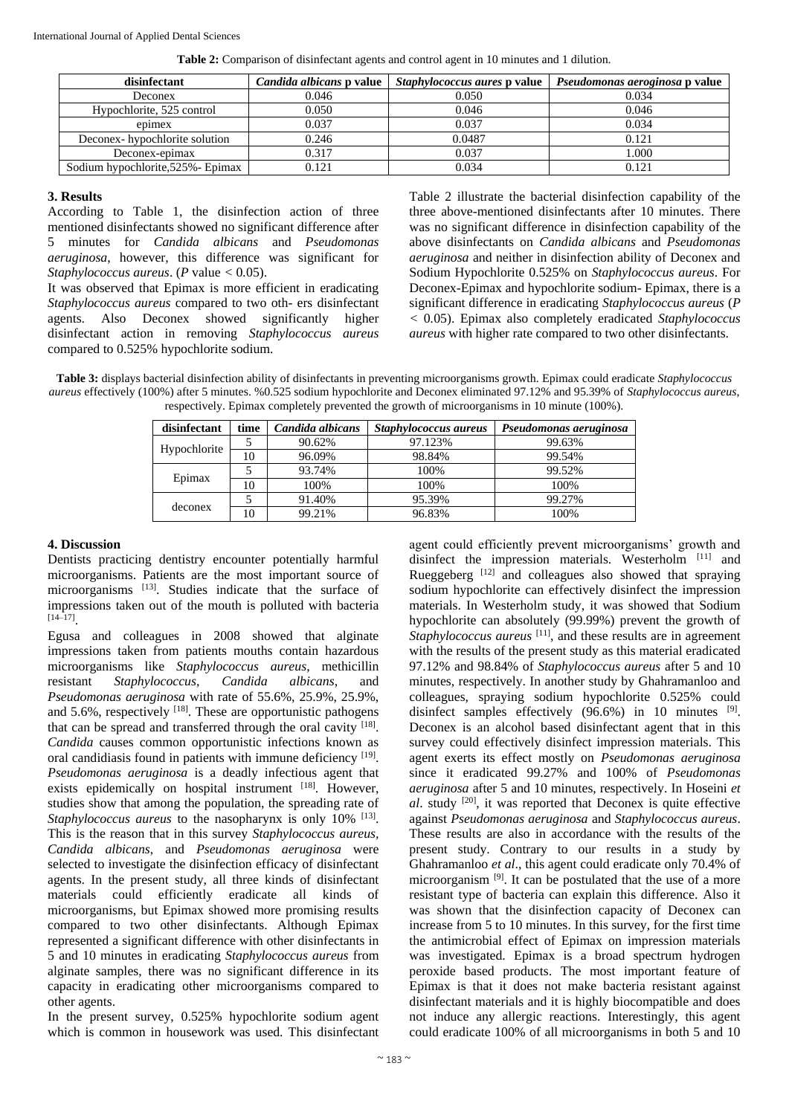| disinfectant                       | <i>Candida albicans</i> p value | <i>Staphylococcus aures p value</i> | <i>Pseudomonas aeroginosa</i> p value |
|------------------------------------|---------------------------------|-------------------------------------|---------------------------------------|
| Deconex                            | 0.046                           | 0.050                               | 0.034                                 |
| Hypochlorite, 525 control          | 0.050                           | 0.046                               | 0.046                                 |
| epimex                             | 0.037                           | 0.037                               | 0.034                                 |
| Deconex-hypochlorite solution      | 0.246                           | 0.0487                              | 0.121                                 |
| Deconex-epimax                     | 0.317                           | 0.037                               | 1.000                                 |
| Sodium hypochlorite, 525% - Epimax | 0.121                           | 0.034                               | 0.121                                 |

#### **3. Results**

According to Table 1, the disinfection action of three mentioned disinfectants showed no significant difference after 5 minutes for *Candida albicans* and *Pseudomonas aeruginosa*, however, this difference was significant for *Staphylococcus aureus*. (*P* value *<* 0*.*05).

It was observed that Epimax is more efficient in eradicating *Staphylococcus aureus* compared to two oth- ers disinfectant agents. Also Deconex showed significantly higher disinfectant action in removing *Staphylococcus aureus*  compared to 0.525% hypochlorite sodium.

Table 2 illustrate the bacterial disinfection capability of the three above-mentioned disinfectants after 10 minutes. There was no significant difference in disinfection capability of the above disinfectants on *Candida albicans* and *Pseudomonas aeruginosa* and neither in disinfection ability of Deconex and Sodium Hypochlorite 0.525% on *Staphylococcus aureus*. For Deconex-Epimax and hypochlorite sodium- Epimax, there is a significant difference in eradicating *Staphylococcus aureus* (*P <* 0*.*05). Epimax also completely eradicated *Staphylococcus aureus* with higher rate compared to two other disinfectants.

**Table 3:** displays bacterial disinfection ability of disinfectants in preventing microorganisms growth. Epimax could eradicate *Staphylococcus aureus* effectively (100%) after 5 minutes. %0.525 sodium hypochlorite and Deconex eliminated 97.12% and 95.39% of *Staphylococcus aureus*, respectively. Epimax completely prevented the growth of microorganisms in 10 minute (100%).

| disinfectant | time | Candida albicans | Staphylococcus aureus | Pseudomonas aeruginosa |
|--------------|------|------------------|-----------------------|------------------------|
| Hypochlorite |      | 90.62%           | 97.123%               | 99.63%                 |
|              | 10   | 96.09%           | 98.84%                | 99.54%                 |
| Epimax       |      | 93.74%           | 100%                  | 99.52%                 |
|              | 10   | 100%             | 100%                  | 100%                   |
| deconex      |      | 91.40%           | 95.39%                | 99.27%                 |
|              | 10   | 99.21%           | 96.83%                | 100%                   |

## **4. Discussion**

Dentists practicing dentistry encounter potentially harmful microorganisms. Patients are the most important source of microorganisms [13]. Studies indicate that the surface of impressions taken out of the mouth is polluted with bacteria  $[14-17]$ .

Egusa and colleagues in 2008 showed that alginate impressions taken from patients mouths contain hazardous microorganisms like *Staphylococcus aureus*, methicillin resistant *Staphylococcus*, *Candida albicans*, and *Pseudomonas aeruginosa* with rate of 55.6%, 25.9%, 25.9%, and  $5.6\%$ , respectively  $[18]$ . These are opportunistic pathogens that can be spread and transferred through the oral cavity [18]. *Candida* causes common opportunistic infections known as oral candidiasis found in patients with immune deficiency [19]. *Pseudomonas aeruginosa* is a deadly infectious agent that exists epidemically on hospital instrument [18]. However, studies show that among the population, the spreading rate of Staphylococcus aureus to the nasopharynx is only 10% <sup>[13]</sup>. This is the reason that in this survey *Staphylococcus aureus, Candida albicans*, and *Pseudomonas aeruginosa* were selected to investigate the disinfection efficacy of disinfectant agents. In the present study, all three kinds of disinfectant materials could efficiently eradicate all kinds of microorganisms, but Epimax showed more promising results compared to two other disinfectants. Although Epimax represented a significant difference with other disinfectants in 5 and 10 minutes in eradicating *Staphylococcus aureus* from alginate samples, there was no significant difference in its capacity in eradicating other microorganisms compared to other agents.

In the present survey, 0.525% hypochlorite sodium agent which is common in housework was used. This disinfectant

agent could efficiently prevent microorganisms' growth and disinfect the impression materials. Westerholm [11] and Rueggeberg [12] and colleagues also showed that spraying sodium hypochlorite can effectively disinfect the impression materials. In Westerholm study, it was showed that Sodium hypochlorite can absolutely (99.99%) prevent the growth of *Staphylococcus aureus* <sup>[11]</sup>, and these results are in agreement with the results of the present study as this material eradicated 97.12% and 98.84% of *Staphylococcus aureus* after 5 and 10 minutes, respectively. In another study by Ghahramanloo and colleagues, spraying sodium hypochlorite 0.525% could disinfect samples effectively (96.6%) in 10 minutes <sup>[9]</sup>. Deconex is an alcohol based disinfectant agent that in this survey could effectively disinfect impression materials. This agent exerts its effect mostly on *Pseudomonas aeruginosa*  since it eradicated 99.27% and 100% of *Pseudomonas aeruginosa* after 5 and 10 minutes, respectively. In Hoseini *et al*. study [20], it was reported that Deconex is quite effective against *Pseudomonas aeruginosa* and *Staphylococcus aureus*. These results are also in accordance with the results of the present study. Contrary to our results in a study by Ghahramanloo *et al*., this agent could eradicate only 70.4% of microorganism <sup>[9]</sup>. It can be postulated that the use of a more resistant type of bacteria can explain this difference. Also it was shown that the disinfection capacity of Deconex can increase from 5 to 10 minutes. In this survey, for the first time the antimicrobial effect of Epimax on impression materials was investigated. Epimax is a broad spectrum hydrogen peroxide based products. The most important feature of Epimax is that it does not make bacteria resistant against disinfectant materials and it is highly biocompatible and does not induce any allergic reactions. Interestingly, this agent could eradicate 100% of all microorganisms in both 5 and 10